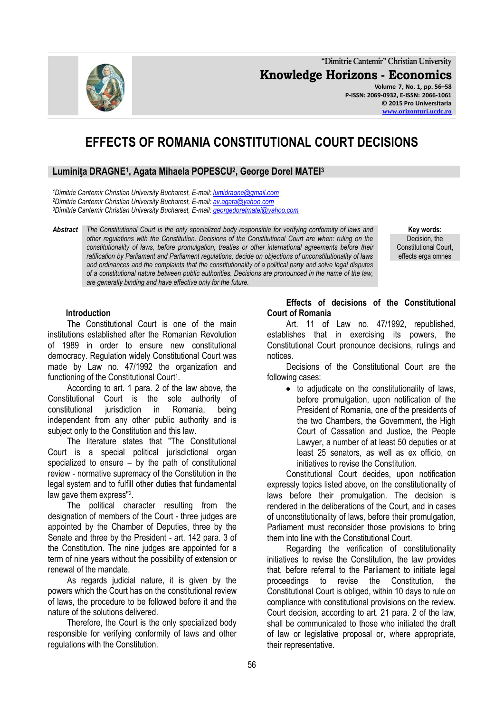**"Dimitrie Cantemir" Christian University Knowledge Horizons - Economics Volume 7, No. 1, pp. 56–58 P-ISSN: 2069-0932, E-ISSN: 2066-1061 © 2015 Pro Universitaria**

# **EFFECTS OF ROMANIA CONSTITUTIONAL COURT DECISIONS**

## **Luminiţa DRAGNE<sup>1</sup> , Agata Mihaela POPESCU<sup>2</sup> , George Dorel MATEI<sup>3</sup>**

*<sup>1</sup>Dimitrie Cantemir Christian University Bucharest, E-mail: [lumidragne@gmail.com](mailto:lumidragne@gmail.com) <sup>2</sup>Dimitrie Cantemir Christian University Bucharest, E-mail: [av.agata@yahoo.com](mailto:av.agata@yahoo.com) <sup>3</sup>Dimitrie Cantemir Christian University Bucharest, E-mail: [georgedorelmatei@yahoo.com](mailto:georgedorelmatei@yahoo.com)*

*Abstract The Constitutional Court is the only specialized body responsible for verifying conformity of laws and other regulations with the Constitution. Decisions of the Constitutional Court are when: ruling on the constitutionality of laws, before promulgation, treaties or other international agreements before their ratification by Parliament and Parliament regulations, decide on objections of unconstitutionality of laws and ordinances and the complaints that the constitutionality of a political party and solve legal disputes of a constitutional nature between public authorities. Decisions are pronounced in the name of the law, are generally binding and have effective only for the future.*

**Key words:** Decision, the Constitutional Court, effects erga omnes

**[www.orizonturi.ucdc.ro](http://www.orizonturi.ucdc.ro/)**

### **Introduction**

The Constitutional Court is one of the main institutions established after the Romanian Revolution of 1989 in order to ensure new constitutional democracy. Regulation widely Constitutional Court was made by Law no. 47/1992 the organization and functioning of the Constitutional Court<sup>1</sup>.

According to art. 1 para. 2 of the law above, the Constitutional Court is the sole authority of constitutional jurisdiction in Romania, being independent from any other public authority and is subject only to the Constitution and this law.

The literature states that "The Constitutional Court is a special political jurisdictional organ specialized to ensure  $-$  by the path of constitutional review - normative supremacy of the Constitution in the legal system and to fulfill other duties that fundamental law gave them express"<sup>2</sup> .

The political character resulting from the designation of members of the Court - three judges are appointed by the Chamber of Deputies, three by the Senate and three by the President - art. 142 para. 3 of the Constitution. The nine judges are appointed for a term of nine years without the possibility of extension or renewal of the mandate.

As regards judicial nature, it is given by the powers which the Court has on the constitutional review of laws, the procedure to be followed before it and the nature of the solutions delivered.

Therefore, the Court is the only specialized body responsible for verifying conformity of laws and other regulations with the Constitution.

#### **Effects of decisions of the Constitutional Court of Romania**

Art. 11 of Law no. 47/1992, republished, establishes that in exercising its powers, the Constitutional Court pronounce decisions, rulings and notices.

Decisions of the Constitutional Court are the following cases:

• to adjudicate on the constitutionality of laws, before promulgation, upon notification of the President of Romania, one of the presidents of the two Chambers, the Government, the High Court of Cassation and Justice, the People Lawyer, a number of at least 50 deputies or at least 25 senators, as well as ex officio, on initiatives to revise the Constitution.

Constitutional Court decides, upon notification expressly topics listed above, on the constitutionality of laws before their promulgation. The decision is rendered in the deliberations of the Court, and in cases of unconstitutionality of laws, before their promulgation, Parliament must reconsider those provisions to bring them into line with the Constitutional Court.

Regarding the verification of constitutionality initiatives to revise the Constitution, the law provides that, before referral to the Parliament to initiate legal proceedings to revise the Constitution, the Constitutional Court is obliged, within 10 days to rule on compliance with constitutional provisions on the review. Court decision, according to art. 21 para. 2 of the law, shall be communicated to those who initiated the draft of law or legislative proposal or, where appropriate, their representative.

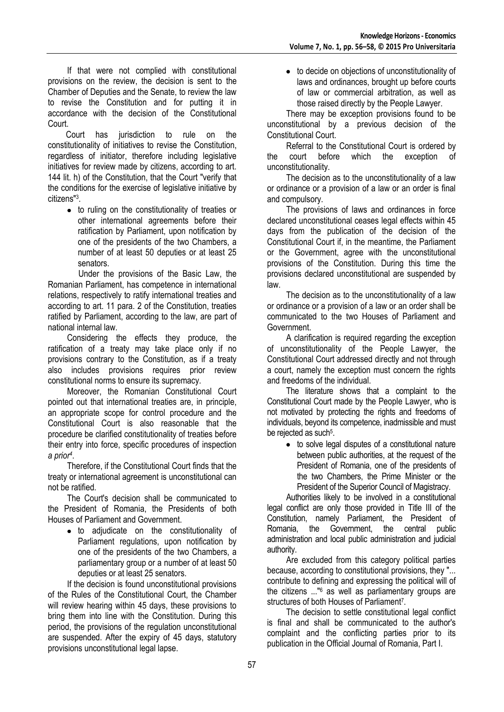If that were not complied with constitutional provisions on the review, the decision is sent to the Chamber of Deputies and the Senate, to review the law to revise the Constitution and for putting it in accordance with the decision of the Constitutional Court.

Court has jurisdiction to rule on the constitutionality of initiatives to revise the Constitution, regardless of initiator, therefore including legislative initiatives for review made by citizens, according to art. 144 lit. h) of the Constitution, that the Court "verify that the conditions for the exercise of legislative initiative by citizens"<sup>3</sup> .

• to ruling on the constitutionality of treaties or other international agreements before their ratification by Parliament, upon notification by one of the presidents of the two Chambers, a number of at least 50 deputies or at least 25 senators.

Under the provisions of the Basic Law, the Romanian Parliament, has competence in international relations, respectively to ratify international treaties and according to art. 11 para. 2 of the Constitution, treaties ratified by Parliament, according to the law, are part of national internal law.

Considering the effects they produce, the ratification of a treaty may take place only if no provisions contrary to the Constitution, as if a treaty also includes provisions requires prior review constitutional norms to ensure its supremacy.

Moreover, the Romanian Constitutional Court pointed out that international treaties are, in principle, an appropriate scope for control procedure and the Constitutional Court is also reasonable that the procedure be clarified constitutionality of treaties before their entry into force, specific procedures of inspection *a prior<sup>4</sup>* .

Therefore, if the Constitutional Court finds that the treaty or international agreement is unconstitutional can not be ratified.

The Court's decision shall be communicated to the President of Romania, the Presidents of both Houses of Parliament and Government.

to adjudicate on the constitutionality of Parliament regulations, upon notification by one of the presidents of the two Chambers, a parliamentary group or a number of at least 50 deputies or at least 25 senators.

If the decision is found unconstitutional provisions of the Rules of the Constitutional Court, the Chamber will review hearing within 45 days, these provisions to bring them into line with the Constitution. During this period, the provisions of the regulation unconstitutional are suspended. After the expiry of 45 days, statutory provisions unconstitutional legal lapse.

to decide on objections of unconstitutionality of laws and ordinances, brought up before courts of law or commercial arbitration, as well as those raised directly by the People Lawyer.

There may be exception provisions found to be unconstitutional by a previous decision of the Constitutional Court.

Referral to the Constitutional Court is ordered by the court before which the exception of unconstitutionality.

The decision as to the unconstitutionality of a law or ordinance or a provision of a law or an order is final and compulsory.

The provisions of laws and ordinances in force declared unconstitutional ceases legal effects within 45 days from the publication of the decision of the Constitutional Court if, in the meantime, the Parliament or the Government, agree with the unconstitutional provisions of the Constitution. During this time the provisions declared unconstitutional are suspended by law.

The decision as to the unconstitutionality of a law or ordinance or a provision of a law or an order shall be communicated to the two Houses of Parliament and Government.

A clarification is required regarding the exception of unconstitutionality of the People Lawyer, the Constitutional Court addressed directly and not through a court, namely the exception must concern the rights and freedoms of the individual.

The literature shows that a complaint to the Constitutional Court made by the People Lawyer, who is not motivated by protecting the rights and freedoms of individuals, beyond its competence, inadmissible and must be rejected as such<sup>5</sup>.

• to solve legal disputes of a constitutional nature between public authorities, at the request of the President of Romania, one of the presidents of the two Chambers, the Prime Minister or the President of the Superior Council of Magistracy.

Authorities likely to be involved in a constitutional legal conflict are only those provided in Title III of the Constitution, namely Parliament, the President of Romania, the Government, the central public administration and local public administration and judicial authority.

Are excluded from this category political parties because, according to constitutional provisions, they "... contribute to defining and expressing the political will of the citizens ..."<sup>6</sup> as well as parliamentary groups are structures of both Houses of Parliament<sup>7</sup>.

The decision to settle constitutional legal conflict is final and shall be communicated to the author's complaint and the conflicting parties prior to its publication in the Official Journal of Romania, Part I.